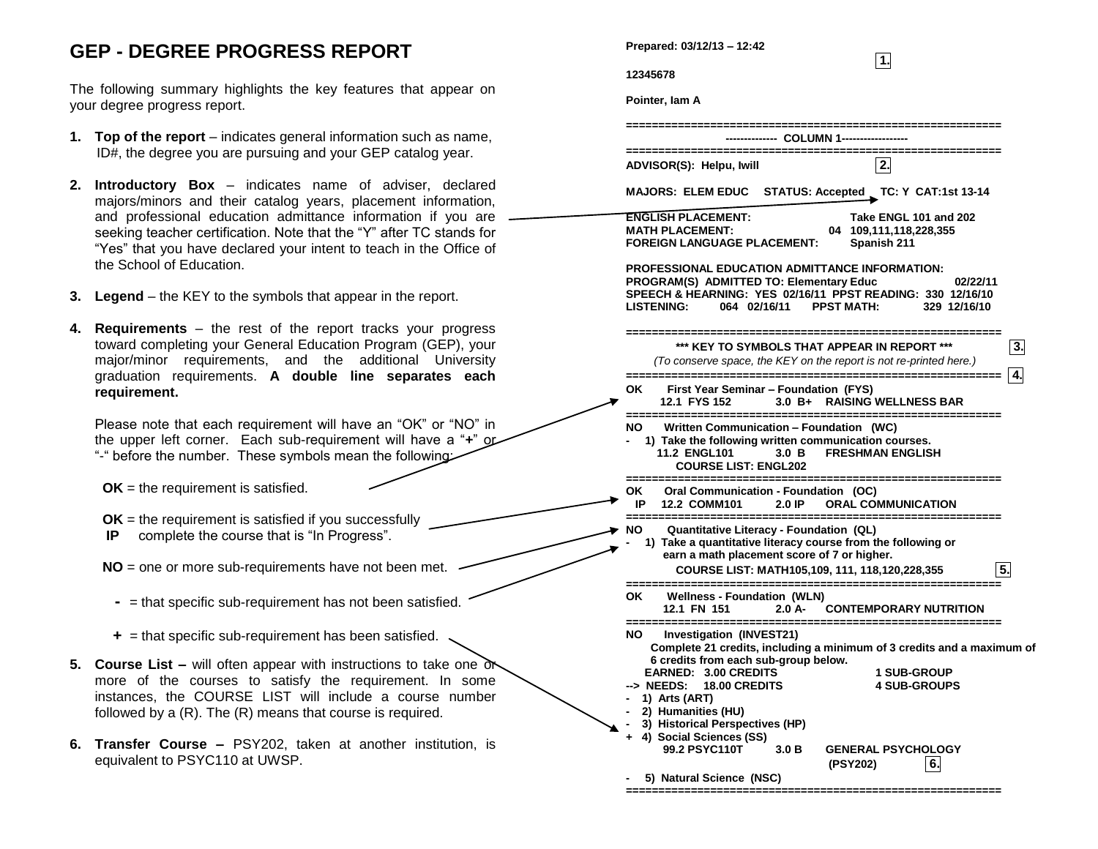## **GEP - DEGREE PROGRESS REPORT**

The following summary highlights the key features that appear on your degree progress report.

- **1. Top of the report** indicates general information such as name, ID#, the degree you are pursuing and your GEP catalog year.
- **2. Introductory Box** indicates name of adviser, declared majors/minors and their catalog years, placement information, and professional education admittance information if you are seeking teacher certification. Note that the "Y" after TC stands for "Yes" that you have declared your intent to teach in the Office of the School of Education.
- **3. Legend** the KEY to the symbols that appear in the report.
- **4. Requirements** the rest of the report tracks your progress toward completing your General Education Program (GEP), your major/minor requirements, and the additional University graduation requirements. **A double line separates each requirement.**

Please note that each requirement will have an "OK" or "NO" in the upper left corner. Each sub-requirement will have a "**+**" or "-" before the number. These symbols mean the following:

- **OK** = the requirement is satisfied.
- **OK** = the requirement is satisfied if you successfully
- **IP** complete the course that is "In Progress".
- **NO** = one or more sub-requirements have not been met.
	- **-** = that specific sub-requirement has not been satisfied.
- **+** = that specific sub-requirement has been satisfied.
- **5. Course List –** will often appear with instructions to take one or more of the courses to satisfy the requirement. In some instances, the COURSE LIST will include a course number followed by a (R). The (R) means that course is required.
- **6. Transfer Course –** PSY202, taken at another institution, is equivalent to PSYC110 at UWSP.

| Prepared: 03/12/13 = 12:42                                                                                                                                                                                                                                                                                                                                               |
|--------------------------------------------------------------------------------------------------------------------------------------------------------------------------------------------------------------------------------------------------------------------------------------------------------------------------------------------------------------------------|
| 1.<br>12345678                                                                                                                                                                                                                                                                                                                                                           |
| Pointer, Iam A                                                                                                                                                                                                                                                                                                                                                           |
|                                                                                                                                                                                                                                                                                                                                                                          |
| --- COLUMN 1-----                                                                                                                                                                                                                                                                                                                                                        |
| -------------------------------------<br>--------------------<br>2.                                                                                                                                                                                                                                                                                                      |
| ADVISOR(S): Helpu, Iwill                                                                                                                                                                                                                                                                                                                                                 |
| <b>MAJORS: ELEM EDUC</b><br>STATUS: Accepted _ TC: Y CAT:1st 13-14                                                                                                                                                                                                                                                                                                       |
| <b>ENGLISH PLACEMENT:</b><br>Take ENGL 101 and 202<br><b>MATH PLACEMENT:</b>                                                                                                                                                                                                                                                                                             |
| 04 109,111,118,228,355<br><b>FOREIGN LANGUAGE PLACEMENT:</b><br>Spanish 211                                                                                                                                                                                                                                                                                              |
| <b>PROFESSIONAL EDUCATION ADMITTANCE INFORMATION:</b><br>PROGRAM(S) ADMITTED TO: Elementary Educ<br>02/22/11<br>SPEECH & HEARNING: YES 02/16/11 PPST READING: 330 12/16/10<br>064 02/16/11<br><b>PPST MATH:</b><br><b>LISTENING:</b><br>329 12/16/10                                                                                                                     |
|                                                                                                                                                                                                                                                                                                                                                                          |
| *** KEY TO SYMBOLS THAT APPEAR IN REPORT ***<br>3.<br>(To conserve space, the KEY on the report is not re-printed here.)                                                                                                                                                                                                                                                 |
| l 4.                                                                                                                                                                                                                                                                                                                                                                     |
| OK.<br>First Year Seminar – Foundation (FYS)<br>12.1 FYS 152<br>3.0 B+ RAISING WELLNESS BAR                                                                                                                                                                                                                                                                              |
| Written Communication – Foundation (WC)<br>NO.<br>1) Take the following written communication courses.<br><b>FRESHMAN ENGLISH</b><br>11.2 ENGL101<br>$3.0\,B$<br><b>COURSE LIST: ENGL202</b>                                                                                                                                                                             |
| =============<br>=======================<br>ок<br>Oral Communication - Foundation (OC)<br>IP 12.2 COMM101<br><b>ORAL COMMUNICATION</b><br>2.0 IP                                                                                                                                                                                                                         |
| NO.<br>Quantitative Literacy - Foundation (QL)<br>1) Take a quantitative literacy course from the following or<br>earn a math placement score of 7 or higher.<br>COURSE LIST: MATH105,109, 111, 118,120,228,355<br>5.                                                                                                                                                    |
| OK.<br><b>Wellness - Foundation (WLN)</b><br>12.1 FN 151<br>2.0 A-<br><b>CONTEMPORARY NUTRITION</b>                                                                                                                                                                                                                                                                      |
| Investigation (INVEST21)<br>NO.<br>Complete 21 credits, including a minimum of 3 credits and a maximum of<br>6 credits from each sub-group below.<br><b>EARNED: 3.00 CREDITS</b><br>1 SUB-GROUP<br><b>18.00 CREDITS</b><br><b>4 SUB-GROUPS</b><br>--> NEEDS:<br>1) Arts (ART)<br>2) Humanities (HU)<br>3) Historical Perspectives (HP)<br>4) Social Sciences (SS)<br>$+$ |
| 99.2 PSYC110T<br>3.0 B<br><b>GENERAL PSYCHOLOGY</b><br>(PSY202)<br>6.                                                                                                                                                                                                                                                                                                    |
| 5) Natural Science (NSC)                                                                                                                                                                                                                                                                                                                                                 |

**==========================================================**

**Prepared: 03/12/13 – 12:42**